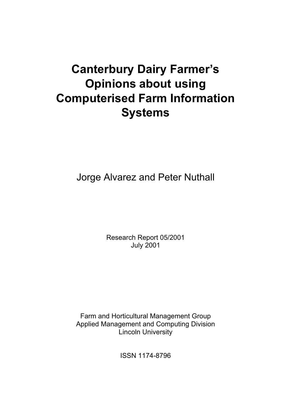# **Canterbury Dairy Farmer's Opinions about using Computerised Farm Information Systems**

Jorge Alvarez and Peter Nuthall

Research Report 05/2001 July 2001

Farm and Horticultural Management Group Applied Management and Computing Division Lincoln University

ISSN 1174-8796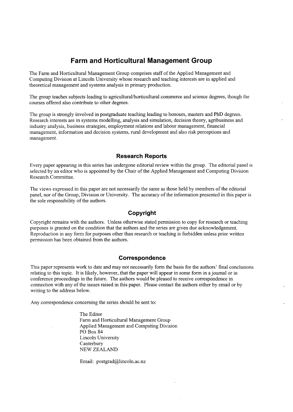# **Farm and Horticultural Management Group**

The Farm and Horticultural Management Group comprises staff of the Applied Management and Computing Division at Lincoln University whose research and teaching interests are in applied and theoretical management and systems analysis in primary production.

The group teaches subjects leading to **agricultural/horticultural** commerce and science degrees, though the courses offered also contribute to other degrees.

The group is strongly involved in postgraduate teaching leading to honours, masters and PhD degrees. Research interests are in systems modelling, analysis and simulation, decision theory, agribusiness and industry analysis, business strategies, employment relations and labour management, financial management, information and decision systems, rural development and also risk perceptions and management.

#### **Research Reports**

Every paper appearing in this series has undergone editorial review within the group. The editorial panel is selected by an editor who is appointed by the Chair of the Applied Management and Computing Division Research Committee.

The views expressed in this paper are not necessarily the same as those held by members of the editorial panel, nor of the Group, Division or University. The accuracy of the information presented in this paper is the sole responsibility of the authors.

## **Copyright**

Copyright remains with the authors. Unless otherwise stated permission to copy for research or teaching purposes is granted on the condition that the authors and the series are given due acknowledgement. Reproduction in any form for purposes other than research or teaching is forbidden unless prior written permission has been obtained from the authors.

#### **Correspondence**

This paper represents work to date and may not necessarily form the basis for the authors' final conclusions relating to this topic. It is likely, however, that the paper will appear in some form in a journal or in conference proceedings in the future. The authors would be pleased to receive correspondence in connection with any of the issues raised in this paper. Please contact the authors either by email or by writing to the address below.

Any correspondence concerning the series should be sent to:

The Editor Farm and Horticultural Management Group Applied Management and Computing Division PO Box 84 Lincoln University Canterbury NEW ZEALAND

Email: postgrad@lincoln.ac.nz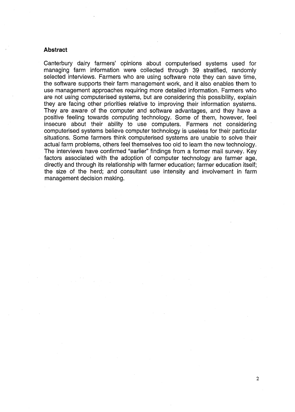#### **Abstract**

Canterbury dairy farmers' opinions about computerised systems used for managing farm information were collected through 39 stratified, randomly selected interviews. Farmers who are using software note they can save time, the software supports their farm management work, and it also enables them to use management approaches requiring more detailed information. Farmers who are not using computerised systems, but are considering this possibility, explain they are facing other priorities relative to improving their information systems. They are aware of the computer and software advantages, and they have a positive feeling towards computing technology. Some of them, however, feel insecure about their ability to use computers. Farmers not considering computerised systems believe computer technology is useless for their particular situations. Some farmers think computerised systems are unable to solve their actual farm problems, others feel themselves too old to learn the new technology. The interviews have confirmed "earlier" findings from a former mail survey. Key factors associated with the adoption of computer technology are farmer age, directly and through its relationship with farmer education; farmer education itself; the size of the herd; and consultant use intensity and involvement in farm management decision making.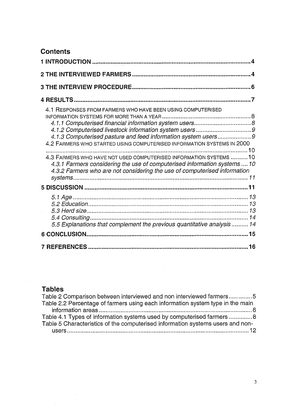# **Contents**

| 4.1 RESPONSES FROM FARMERS WHO HAVE BEEN USING COMPUTERISED<br>4.1.3 Computerised pasture and feed information system users9<br>4.2 FARMERS WHO STARTED USING COMPUTERISED INFORMATION SYSTEMS IN 2000<br>4.3 FARMERS WHO HAVE NOT USED COMPUTERISED INFORMATION SYSTEMS  10<br>4.3.1 Farmers considering the use of computerised information systems  10<br>4.3.2 Farmers who are not considering the use of computerised information |
|----------------------------------------------------------------------------------------------------------------------------------------------------------------------------------------------------------------------------------------------------------------------------------------------------------------------------------------------------------------------------------------------------------------------------------------|
|                                                                                                                                                                                                                                                                                                                                                                                                                                        |
| 5.5 Explanations that complement the previous quantitative analysis  14                                                                                                                                                                                                                                                                                                                                                                |
|                                                                                                                                                                                                                                                                                                                                                                                                                                        |
|                                                                                                                                                                                                                                                                                                                                                                                                                                        |

# **Tables**

| Table 2 Comparison between interviewed and non interviewed farmers5            |
|--------------------------------------------------------------------------------|
| Table 2.2 Percentage of farmers using each information system type in the main |
|                                                                                |
| Table 4.1 Types of information systems used by computerised farmers 8          |
| Table 5 Characteristics of the computerised information systems users and non- |
|                                                                                |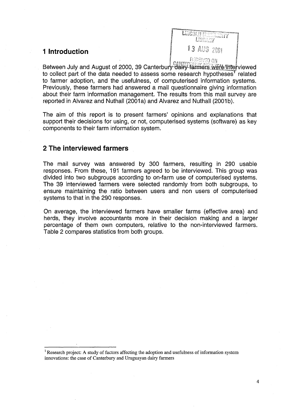# **1 Introduction**



Between July and August of 2000, 39 Canterbury dairy farmers were nite-viewed to collect part of the data needed to assess some research hypotheses<sup>T</sup> related to farmer adoption, and the usefulness, of computerised information systems. Previously, these farmers had answered a mail questionnaire giving information about their farm information management. The results from this mail survey are reported in Alvarez and Nuthall (2001a) and Alvarez and Nuthall (2001b).

The aim of this report is to present farmers' opinions and explanations that support their decisions for using, or not, computerised systems (software) as key components to their farm information system.

# **2 The interviewed farmers**

The mail survey was answered by 300 farmers, resulting in 290 usable responses. From these, 191 farmers agreed to be interviewed. This group was divided into two subgroups according to on-farm use of computerised systems. The 39 interviewed farmers were selected randomly from both subgroups, to ensure maintaining the ratio between users and non users of computerised systems to that in the 290 responses.

On average, the interviewed farmers have smaller farms (effective area) and herds, they involve accountants more in their decision making and a larger percentage of them own computers, relative to the non-interviewed farmers. Table 2 compares statistics from both groups.

<sup>&</sup>lt;sup>1</sup> Research project: A study of factors affecting the adoption and usefulness of information system innovations: the case of Canterbury and Uruguayan dairy farmers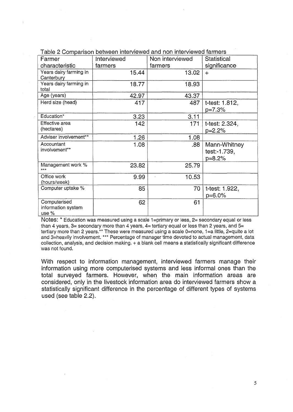| Farmer                                        | Interviewed | Non interviewed | <b>Statistical</b>                       |
|-----------------------------------------------|-------------|-----------------|------------------------------------------|
| characteristic                                | farmers     | farmers         | significance                             |
| Years dairy farming in<br>Canterbury          | 15.44       | 13.02           | $+$                                      |
| Years dairy farming in<br>total               | 18.77       | 18.93           |                                          |
| Age (years)                                   | 42.97       | 43.37           |                                          |
| Herd size (head)                              | 417         | 487             | t-test: 1.812,<br>p=7.3%                 |
| Education*                                    | 3.23        | 3.11            |                                          |
| Effective area<br>(hectares)                  | 142         | 171             | t-test: 2.324,<br>$p=2.2%$               |
| Adviser involvement**                         | 1.26        | 1.08            |                                          |
| Accountant<br>involvement**                   | 1.08        | .88             | Mann-Whitney<br>test:-1.739,<br>$p=8.2%$ |
| Management work %<br>***                      | 23.82       | 25.79           |                                          |
| Office work<br>(hours/week)                   | 9.99        | 10.53           |                                          |
| Computer uptake %                             | 85          | 70              | t-test: 1.922,<br>$p = 6.0\%$            |
| Computerised<br>information system<br>use $%$ | 62          | 61              |                                          |

Table 2 Comparison between interviewed and non interviewed farmers

Notes: \* Education was measured using a scale I=primary or less, **2=** secondary equal or less than 4 years, 3= secondary more than 4 years, 4= tertiary equal or less than 2 years, and **5=**  tertiary more than 2 years.\*\* These were measured using a scale 0=none, 1=a little, 2=quite a lot and 3=heavily involvement. \*\*\* Percentage of manager time devoted to actual management, data collection, analysis, and decision making. + a blank cell means a statistically significant difference was not found.

With respect to information management, interviewed farmers manage their information using more computerised systems and less informal ones than the total surveyed farmers. However, when the main information areas are considered, only in the livestock information area do interviewed farmers show a statistically significant difference in the percentage of different types of systems used (see table 2.2).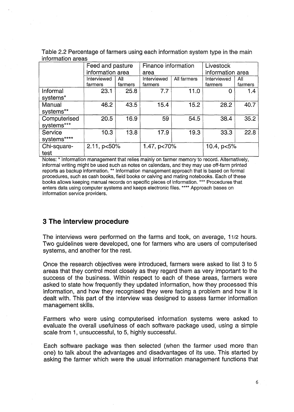| Table 2.2 Percentage of farmers using each information system type in the main |  |  |  |
|--------------------------------------------------------------------------------|--|--|--|
| information areas                                                              |  |  |  |

|                            | Feed and pasture<br>information area |                | Finance information<br>area |             | Livestock<br>information area |                |
|----------------------------|--------------------------------------|----------------|-----------------------------|-------------|-------------------------------|----------------|
|                            | Interviewed<br>farmers               | All<br>farmers | Interviewed<br>farmers      | All farmers | Interviewed<br>farmers        | All<br>farmers |
| Informal<br>systems*       | 23.1                                 | 25.8           | 7.7                         | 11.0        | ი                             | 1.4            |
| Manual<br>systems**        | 46.2                                 | 43.5           | 15.4                        | 15.2        | 28.2                          | 40.7           |
| Computerised<br>systems*** | 20.5                                 | 16.9           | 59                          | 54.5        | 38.4                          | 35.2           |
| Service<br>systems****     | 10.3                                 | 13.8           | 17.9                        | 19.3        | 33.3                          | 22.8           |
| Chi-square-<br>test        | 2.11, p<50%                          |                | 1.47, p<70%                 |             | 10.4, $p < 5\%$               |                |

Notes: \* lnformation management that relies mainly on farmer memory to record. Alternatively, informal writing might be used such as notes on calendars, and they may use off-farm printed reports as backup information. \*\* lnformation management approach that is based on formal procedures, such as cash books, field books or calving and mating notebooks. Each of these books allows keeping manual records on specific pieces of information. \*\*\* Procedures that enters data using computer systems and keeps electronic files. \*\*\*\* Approach bases on information service providers.

# **3 The interview procedure**

The interviews were performed on the farms and took, on average, 1112 hours. Two guidelines were developed, one for farmers who are users of computerised systems, and another for the rest.

Once the research objectives were introduced, farmers were asked to list 3 to 5 areas that they control most closely as they regard them as very important to the success of the business. Within respect to each of these areas, farmers were asked to state how frequently they updated information, how they processed this information, and how they recognised they were facing a problem and how it is dealt with. This part of the interview was designed to assess farmer information management skills.

Farmers who were using computerised information systems were asked to evaluate the overall usefulness of each software package used, using a simple scale from 1, unsuccessful, to 5, highly successful.

Each software package was then selected (when the farmer used more than one) to talk about the advantages and disadvantages of its use. This started by asking the farmer which were the usual information management functions that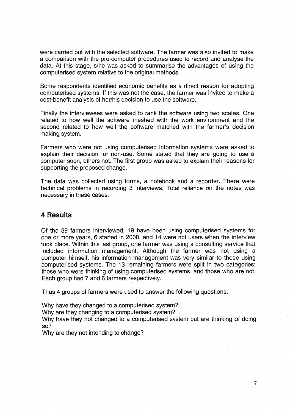were carried out with the selected software. The farmer was also invited to make a comparison with the pre-computer procedures used to record and analyse the data. At this stage, s/he was asked to summarise the advantages of using the computerised system relative to the original methods.

Some respondents identified economic benefits as a direct reason for adopting computerised systems. If this was not the case, the farmer was invited to make a cost-benefit analysis of her/his decision to use the software.

Finally the interviewees were asked to rank the software using two scales. One related to how well the software meshed with the work environment and the second related to how well the software matched with the farmer's decision making system.

Farmers who were not using computerised information systems were asked to explain their decision for non-use. Some stated that they are going to use a computer soon, others not. The first group was asked to explain their reasons for supporting the proposed change.

The data was collected using forms, a notebook and a recorder. There were technical problems in recording 3 interviews. Total reliance on the notes was necessary in these cases.

## **4 Results**

Of the 39 farmers interviewed, 19 have been using computerised systems for one or more years, 6 started in 2000, and 14 were not users when the interview took place. Within this last group, one farmer was using a consulting service that included information management. Although the farmer was not using a computer himself, his information management was very similar to those using computerised systems. The 13 remaining farmers were split in two categories; those who were thinking of using computerised systems, and those who are not. Each group had 7 and 6 farmers respectively.

Thus 4 groups of farmers were used to answer the following questions:

Why have they changed to a computerised system?

Why are they changing to a computerised system?

Why have they not changed to a computerised system but are thinking of doing so?

Why are they not intending to change?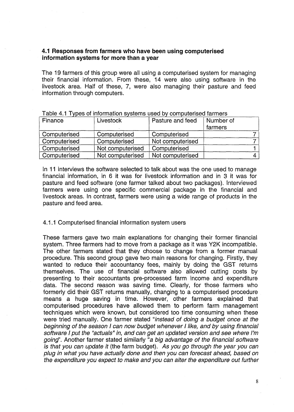## **4.1 Responses from farmers who have been using computerised information systems for more than a year**

The 19 farmers of this group were all using a computerised system for managing their financial information. From these, 14 were also using software in the livestock area. Half of these, 7, were also managing their pasture and feed information through computers.

| Finance      | Livestock        | Pasture and feed | Number of<br>farmers |
|--------------|------------------|------------------|----------------------|
| Computerised | Computerised     | Computerised     |                      |
| Computerised | Computerised     | Not computerised |                      |
| Computerised | Not computerised | Computerised     |                      |
| Computerised | Not computerised | Not computerised |                      |

|  |  |  | и производить получить получить получить получить получить получить получить получить получить получить получи | Table 4.1 Types of information systems used by computerised farmers |
|--|--|--|----------------------------------------------------------------------------------------------------------------|---------------------------------------------------------------------|
|--|--|--|----------------------------------------------------------------------------------------------------------------|---------------------------------------------------------------------|

In 11 interviews the software selected to talk about was the one used to manage financial information, in 6 it was for livestock information and in 3 it was for pasture and feed software (one farmer talked about two packages). Interviewed farmers were using one specific commercial package in the financial and livestock areas. In contrast, farmers were using a wide range of products in the pasture and feed area.

#### 4.1.1 Computerised financial information system users

These farmers gave two main explanations for changing their former financial system. Three farmers had to move from a package as it was Y2K incompatible. The other farmers stated that they choose to change from a former manual procedure. This second group gave two main reasons for changing. Firstly, they wanted to reduce their accountancy fees, mainly by doing the GST returns themselves. The use of financial software also allowed cutting costs by presenting to their accountants pre-processed farm income and expenditure data. The second reason was saving time. Clearly, for those farmers who formerly did their GST returns manually, changing to a computerised procedure means a huge saving in time. However, other farmers explained that computerised procedures have allowed them to perform farm management techniques which were known, but considered too time consuming when these were tried manually. One farmer stated "instead of doing a budget once at the beginning of the season I can now budget whenever I like, and by using financial software I put the "actuals" in, and can get an updated version and see where I'm going". Another farmer stated similarly "a big advantage of the financial software is that you can update it (the farm budget). As you go through the year you can plug in what you have actually done and then you can forecast ahead, based on the expenditure you expect to make and you can alter the expenditure out further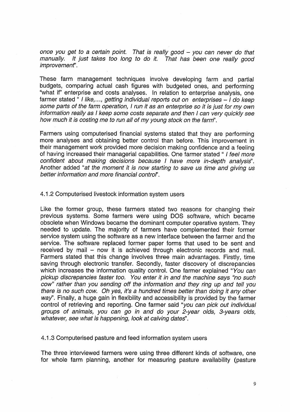once you get to a certain point. That is really good - you can never do that<br>manually. It just takes too long to do it. That has been one really good It just takes too long to do it. That has been one really good improvement".

These farm management techniques involve developing farm and partial budgets, comparing actual cash figures with budgeted ones, and performing "what if" enterprise and costs analyses. In relation to enterprise analysis, one farmer stated " I like,..., getting individual reports out on enterprises  $-1$  do keep some parts of the farm operation, I run it as an enterprise so it is just for my own information really as I keep some costs separate and then I can very quickly see how much it is costing me to run all of my young stock on the farm".

Farmers using computerised financial systems stated that they are performing more analyses and obtaining better control than before. This improvement in their management work provided more decision making confidence and a feeling of having increased their managerial capabilities. One farmer stated " I feel more confident about making decisions because I have more in-depth analysis". Another added "at the moment it is now starting to save us time and giving us better information and more financial control".

#### 4.1.2 Computerised livestock information system users

Like the former group, these farmers stated two reasons for changing their previous systems. Some farmers were using DOS software, which became obsolete when Windows became the dominant computer operative system. They needed to update. The majority of farmers have complemented their former service system using the software as a new interface between the farmer and the service. The software replaced former paper forms that used to be sent and received by mail – now it is achieved through electronic records and mail. Farmers stated that this change involves three main advantages. Firstly, time saving through electronic transfer. Secondly, faster discovery of discrepancies which increases the information quality control. One farmer explained "You can pickup discrepancies faster too. You enter it in and the machine says "no such cow" rather than you sending off the information and they ring up and tell you there is no such cow. Oh yes, it's a hundred times better than doing it any other  $way$ . Finally, a huge gain in flexibility and accessibility is provided by the farmer control of retrieving and reporting. One farmer said "you can pick out individual groups of animals, you can go in and do your 2-year olds, 3-years olds, whatever, see what is happening, look at calving dates".

#### 4.1.3 Computerised pasture and feed information system users

The three interviewed farmers were using three different kinds of software, one for whole farm planning, another for measuring pasture availability (pasture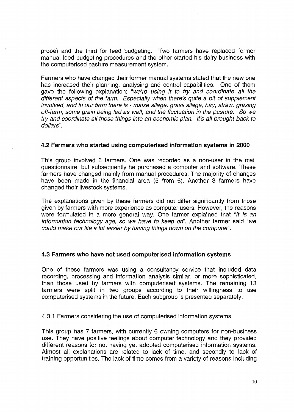probe) and the third for feed budgeting. Two farmers have replaced former manual feed budgeting procedures and the other started his dairy business with the computerised pasture measurement system.

Farmers who have changed their former manual systems stated that the new one has increased their planning, analysing and control capabilities. One of them gave the following explanation: "we're using it to try and coordinate all the different aspects of the farm. Especially when there's quite a bit of supplement involved, and in our farm there is - maize silage, grass silage, hay, straw, grazing off-farm, some grain being fed as well, and the fluctuation in the pasture. So we try and coordinate all those things into an economic plan. *It's* all brought back to dollars".

#### **4.2 Farmers who started using computerised information systems in 2000**

This group involved 6 farmers. One was recorded as a non-user in the mail questionnaire, but subsequently he purchased a computer and software. These farmers have changed mainly from manual procedures. The majority of changes have been made in the financial area (5 from 6). Another 3 farmers have changed their livestock systems.

The explanations given by these farmers did not differ significantly from those given by farmers with more experience as computer users. However, the reasons were formulated in a more general way. One farmer explained that "it is an information technology age, so we have to keep on". Another farmer said "we could make our life a lot easier by having things down on the computer".

#### **4.3 Farmers who have not used computerised information systems**

One of these farmers was using a consultancy service that included data recording, processing and information analysis similar, or more sophisticated, than those used by farmers with computerised systems. The remaining 13 farmers were split in two groups according to their willingness to use computerised systems in the future. Each subgroup is presented separately.

4.3.1 Farmers considering the use of computerised information systems

This group has 7 farmers, with currently 6 owning computers for non-business use. They have positive feelings about computer technology and they provided different reasons for not having yet adopted computerised information systems. Almost all explanations are related to lack of time, and secondly to lack of training opportunities. The lack of time comes from a variety of reasons including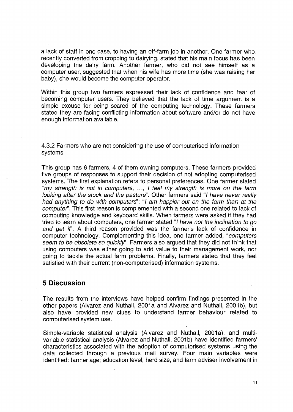a lack of staff in one case, to having an off-farm job in another. One farmer who recently converted from cropping to dairying, stated that his main focus has been developing the dairy farm. Another farmer, who did not see himself as a computer user, suggested that when his wife has more time (she was raising her baby), she would become the computer operator.

Within this group two farmers expressed their lack of confidence and fear of becoming computer users. They believed that the lack of time argument is a simple excuse for being scared of the computing technology. These farmers stated they are facing conflicting information about software and/or do not have enough information available.

4.3.2 Farmers who are not considering the use of computerised information systems

This group has 6 farmers, 4 of them owning computers. These farmers provided five groups of responses to support their decision of not adopting computerised systems. The first explanation refers to personal preferences. One farmer stated "my strength is not in computers, ..., I feel my strength is more on the farm looking after the stock and the pasture". Other farmers said "I have never really had anything to do with computers"; "I am happier out on the farm than at the computer". This first reason is complemented with a second one related to lack of computing knowledge and keyboard skills. When farmers were asked if they had tried to learn about computers, one farmer stated "1 have not the inclination to go and get if'. A third reason provided was the farmer's lack of confidence in computer technology. Complementing this idea, one farmer added, "computers seem to be obsolete so quickly". Farmers also argued that they did not think that using computers was either going to add value to their management work, nor going to tackle the actual farm problems. Finally, farmers stated that they feel satisfied with their current (non-computerised) information systems.

# **5 Discussion**

The results from the interviews have helped confirm findings presented in the other papers (Alvarez and Nuthall, 2001a and Alvarez and Nuthall, 2001b), but also have provided new clues to understand farmer behaviour related to computerised system use.

Simple-variable statistical analysis (Alvarez and Nuthall, 2001a), and multivariable statistical analysis (Alvarez and Nuthall, 2001b) have identified farmers' characteristics associated with the adoption of computerised systems using the data collected through a previous mail survey. Four main variables were identified: farmer age; education level, herd size, and farm adviser involvement in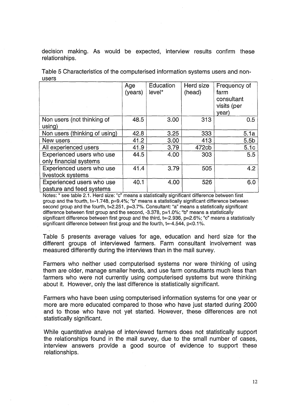decision making. As would be expected, interview results confirm these relationships.

|                                                       | Age<br>(years) | Education<br>level* | Herd size<br>(head) | Frequency of<br>farm<br>consultant<br>visits (per<br>year) |
|-------------------------------------------------------|----------------|---------------------|---------------------|------------------------------------------------------------|
| Non users (not thinking of<br>using)                  | 48.5           | 3.00                | 313                 | 0.5                                                        |
| Non users (thinking of using)                         | 42.8           | 3.25                | 333                 | 5.1a                                                       |
| New users                                             | 41.2           | 3.00                | 413                 | 5.5 <sub>b</sub>                                           |
| All experienced users                                 | 41.9           | 3.79                | 472cb               | 5.1c                                                       |
| Experienced users who use<br>only financial systems   | 44.5           | 4.00                | 303                 | 5.5                                                        |
| Experienced users who use<br>livestock systems        | 41.4           | 3.79                | 505                 | 4.2                                                        |
| Experienced users who use<br>pasture and feed systems | 40.1           | 4.00                | 526                 | 6.0                                                        |

Table 5 Characteristics of the computerised information systems users and nonusers

Notes: \* see table 2.1. Herd size: "c" means a statistically significant difference between first group and the fourth, t=-1.748, p=9.4%; "b" means a statistically significant difference between second group and the fourth, t=2.251, p=3.7%. Consultant: "a" means a statistically significant difference between first group and the second, -3.378, p=1 **.O%;** "b" means a statistically significant difference between first group and the third, t=-2.936, **p=2.6%;** "c" means a statistically significant difference between first group and the fourth,  $t = -4.544$ ,  $p < 0.1\%$ .

Table 5 presents average values for age, education and herd size for the different groups of interviewed farmers. Farm consultant involvement was measured differently during the interviews than in the mail survey.

Farmers who neither used computerised systems nor were thinking of using them are older, manage smaller herds, and use farm consultants much less than farmers who were not currently using computerised systems but were thinking about it. However, only the last difference is statistically significant.

Farmers who have been using computerised information systems for one year or more are more educated compared to those who have just started during 2000 and to those who have not yet started. However, these differences are not statistically significant.

While quantitative analyse of interviewed farmers does not statistically support the relationships found in the mail survey, due to the small number of cases, interview answers provide a good source of evidence to support these relationships.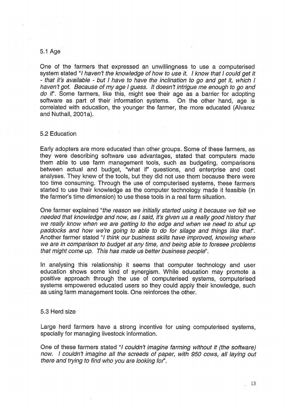#### 5.1 Age

One of the farmers that expressed an unwillingness to use a computerised system stated "I haven't the knowledge of how to use it. I know that I could get it - that it's available - but I have to have the inclination to go and get it, which I haven't got. Because of my age I guess. It doesn't intrigue me enough to go and do it". Some farmers, like this, might see their age as a barrier for adopting software as part of their information systems. On the other hand, age is correlated with education, the younger the farmer, the more educated (Alvarez and Nuthall, 2001a).

#### 5.2 Education

Early adopters are more educated than other groups. Some of these farmers, as they were describing software use advantages, stated that computers made them able to use farm management tools, such as budgeting, comparisons between actual and budget, "what if" questions, and enterprise and cost analyses. They knew of the tools, but they did not use them because there were too time consuming. Through the use of computerised systems, these farmers started to use their knowledge as the computer technology made it feasible (in the farmer's time dimension) to use these tools in a real farm situation.

One farmer explained "the reason we initially starfed using it because we felt we needed that knowledge and now, as I said, it's given us a really good history that we really know when we are getting to the edge and when we need to shut up paddocks and how we're going to able to do for silage and things like thaf'. Another farmer stated "I think our business skills have improved, knowing where we are in comparison to budget at any time, and being able to foresee problems that might come up. This has made us better business people".

In analysing this relationship it seems that computer technology and user education shows some kind of synergism. While education may promote a positive approach through the use of computerised systems, computerised systems empowered educated users so they could apply their knowledge, such as using farm management tools. One reinforces the other.

#### 5.3 Herd size

Large herd farmers have a strong incentive for using computerised systems, specially for managing livestock information.

One of these farmers stated "I couldn't imagine farming without it (the software) now. I couldn't imagine all the screeds of paper, with 950 cows, all laying out there and trying to find who you are looking for".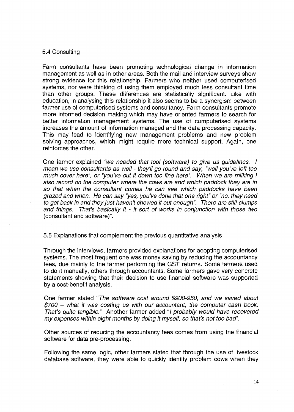#### 5.4 Consulting

Farm consultants have been promoting technological change in information management as well as in other areas. Both the mail and interview surveys show strong evidence for this relationship. Farmers who neither used computerised systems, nor were thinking of using them employed much less consultant time than other groups. These differences are statistically significant. Like with education, in analysing this relationship it also seems to be a synergism between farmer use of computerised systems and consultancy. Farm consultants promote more informed decision making which may have oriented farmers to search for better information management systems. The use of computerised systems increases the amount of information managed and the data processing capacity. This may lead to identifying new management problems and new problem solving approaches, which might require more technical support. Again, one reinforces the other.

One farmer explained "we needed that tool (software) to give us guidelines. I mean we use consultants as well - they'll go round and say, "well you've left too much cover here", or "you've cut it down too fine here". When we are milking I also record on the computer where the cows are and which paddock they are in so that when the consultant comes he can see which paddocks have been grazed and when. He can say "yes, you've done that one right" or "no, they need to get back in and they just haven't chewed it out enough''. There are still clumps and things. That's basically it - it sort of works in conjunction with those two (consultant and software)".

5.5 Explanations that complement the previous quantitative analysis

Through the interviews, farmers provided explanations for adopting computerised systems. The most frequent one was money saving by reducing the accountancy fees, due mainly to the farmer performing the GST returns. Some farmers used to do it manually, others through accountants. Some farmers gave very concrete statements showing that their decision to use financial software was supported by a cost-benefit analysis.

One farmer stated "The software cost around \$900-950, and we saved about \$700 - what it was costing us with our accountant, the computer cash book. That's quite tangible." Another farmer added "I probably would have recovered my expenses within eight months by doing it myself, so that's not too bad'.

Other sources of reducing the accountancy fees comes from using the financial software for data pre-processing.

Following the same logic, other farmers stated that through the use of livestock database software, they were able to quickly identify problem cows when they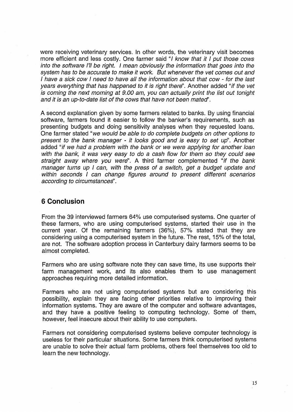were receiving veterinary services. In other words, the veterinary visit becomes more efficient and less costly. One farmer said "I know that it I put those cows into the software 1'11 be right. I mean obviously the information that goes into the system has to be accurate to make it work. But whenever the vet comes out and I have a sick cow I need to have all the information about that cow - for the last years everything that has happened to it is right there". Another added "if the vet is coming the next morning at 9.00 am, you can actually print the list out tonight and it is an up-to-date list of the cows that have not been mated'.

A second explanation given by some farmers related to banks. By using financial software, farmers found it easier to follow the banker's requirements, such as presenting budgets and doing sensitivity analyses when they requested loans. One farmer stated "we would be able to do complete budgets on other options to present to the bank manager - it looks good and is easy to set up". Another added "if we had a problem with the bank or we were applying for another loan with the bank, it was very easy to do a cash flow for them so they could see straight away where you were". A third farmer complemented "if the bank manager turns up I can, with the press of a switch, get a budget update and within seconds I can change figures around to present different scenarios according to circumstances".

# **6 Conclusion**

From the 39 interviewed farmers 64% use computerised systems. One quarter of these farmers, who are using computerised systems, started their use in the current year. Of the remaining farmers (36%), 57% stated that they are considering using a computerised system in the future. The rest, 15% of the total, are not. The software adoption process in Canterbury dairy farmers seems to be almost completed.

Farmers who are using software note they can save time, its use supports their farm management work, and its also enables them to use management approaches requiring more detailed information.

Farmers who are not using computerised systems but are considering this possibility, explain they are facing other priorities relative to improving their information systems. They are aware of the computer and software advantages, and they have a positive feeling to computing technology. Some of them, however, feel insecure about their ability to use computers.

Farmers not considering computerised systems believe computer technology is useless for their particular situations. Some farmers think computerised systems are unable to solve their actual farm problems, others feel themselves too old to learn the new technology.